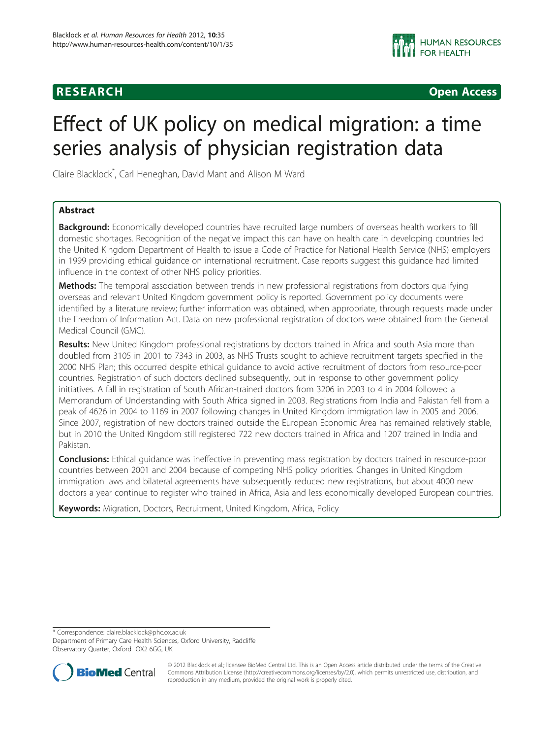## **RESEARCH CHINESE ARCH CHINESE ARCH CHINESE ARCH**

# Effect of UK policy on medical migration: a time series analysis of physician registration data

Claire Blacklock\* , Carl Heneghan, David Mant and Alison M Ward

## Abstract

**Background:** Economically developed countries have recruited large numbers of overseas health workers to fill domestic shortages. Recognition of the negative impact this can have on health care in developing countries led the United Kingdom Department of Health to issue a Code of Practice for National Health Service (NHS) employers in 1999 providing ethical guidance on international recruitment. Case reports suggest this guidance had limited influence in the context of other NHS policy priorities.

**Methods:** The temporal association between trends in new professional registrations from doctors qualifying overseas and relevant United Kingdom government policy is reported. Government policy documents were identified by a literature review; further information was obtained, when appropriate, through requests made under the Freedom of Information Act. Data on new professional registration of doctors were obtained from the General Medical Council (GMC).

Results: New United Kingdom professional registrations by doctors trained in Africa and south Asia more than doubled from 3105 in 2001 to 7343 in 2003, as NHS Trusts sought to achieve recruitment targets specified in the 2000 NHS Plan; this occurred despite ethical guidance to avoid active recruitment of doctors from resource-poor countries. Registration of such doctors declined subsequently, but in response to other government policy initiatives. A fall in registration of South African-trained doctors from 3206 in 2003 to 4 in 2004 followed a Memorandum of Understanding with South Africa signed in 2003. Registrations from India and Pakistan fell from a peak of 4626 in 2004 to 1169 in 2007 following changes in United Kingdom immigration law in 2005 and 2006. Since 2007, registration of new doctors trained outside the European Economic Area has remained relatively stable, but in 2010 the United Kingdom still registered 722 new doctors trained in Africa and 1207 trained in India and Pakistan.

**Conclusions:** Ethical guidance was ineffective in preventing mass registration by doctors trained in resource-poor countries between 2001 and 2004 because of competing NHS policy priorities. Changes in United Kingdom immigration laws and bilateral agreements have subsequently reduced new registrations, but about 4000 new doctors a year continue to register who trained in Africa, Asia and less economically developed European countries.

Keywords: Migration, Doctors, Recruitment, United Kingdom, Africa, Policy

\* Correspondence: [claire.blacklock@phc.ox.ac.uk](mailto:claire.blacklock@phc.ox.ac.uk)

Department of Primary Care Health Sciences, Oxford University, Radcliffe Observatory Quarter, Oxford OX2 6GG, UK



© 2012 Blacklock et al.; licensee BioMed Central Ltd. This is an Open Access article distributed under the terms of the Creative Commons Attribution License [\(http://creativecommons.org/licenses/by/2.0\)](http://creativecommons.org/licenses/by/2.0), which permits unrestricted use, distribution, and reproduction in any medium, provided the original work is properly cited.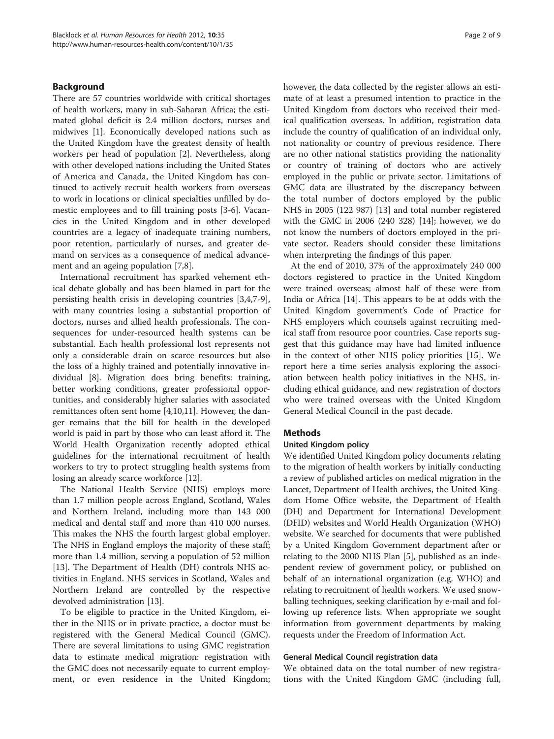#### Background

There are 57 countries worldwide with critical shortages of health workers, many in sub-Saharan Africa; the estimated global deficit is 2.4 million doctors, nurses and midwives [[1\]](#page-7-0). Economically developed nations such as the United Kingdom have the greatest density of health workers per head of population [\[2](#page-7-0)]. Nevertheless, along with other developed nations including the United States of America and Canada, the United Kingdom has continued to actively recruit health workers from overseas to work in locations or clinical specialties unfilled by domestic employees and to fill training posts [\[3-6](#page-7-0)]. Vacancies in the United Kingdom and in other developed countries are a legacy of inadequate training numbers, poor retention, particularly of nurses, and greater demand on services as a consequence of medical advancement and an ageing population [[7,8\]](#page-7-0).

International recruitment has sparked vehement ethical debate globally and has been blamed in part for the persisting health crisis in developing countries [[3,4,7-9](#page-7-0)], with many countries losing a substantial proportion of doctors, nurses and allied health professionals. The consequences for under-resourced health systems can be substantial. Each health professional lost represents not only a considerable drain on scarce resources but also the loss of a highly trained and potentially innovative individual [[8\]](#page-7-0). Migration does bring benefits: training, better working conditions, greater professional opportunities, and considerably higher salaries with associated remittances often sent home [[4,10,11\]](#page-7-0). However, the danger remains that the bill for health in the developed world is paid in part by those who can least afford it. The World Health Organization recently adopted ethical guidelines for the international recruitment of health workers to try to protect struggling health systems from losing an already scarce workforce [\[12\]](#page-7-0).

The National Health Service (NHS) employs more than 1.7 million people across England, Scotland, Wales and Northern Ireland, including more than 143 000 medical and dental staff and more than 410 000 nurses. This makes the NHS the fourth largest global employer. The NHS in England employs the majority of these staff; more than 1.4 million, serving a population of 52 million [[13\]](#page-7-0). The Department of Health (DH) controls NHS activities in England. NHS services in Scotland, Wales and Northern Ireland are controlled by the respective devolved administration [\[13](#page-7-0)].

To be eligible to practice in the United Kingdom, either in the NHS or in private practice, a doctor must be registered with the General Medical Council (GMC). There are several limitations to using GMC registration data to estimate medical migration: registration with the GMC does not necessarily equate to current employment, or even residence in the United Kingdom; however, the data collected by the register allows an estimate of at least a presumed intention to practice in the United Kingdom from doctors who received their medical qualification overseas. In addition, registration data include the country of qualification of an individual only, not nationality or country of previous residence. There are no other national statistics providing the nationality or country of training of doctors who are actively employed in the public or private sector. Limitations of GMC data are illustrated by the discrepancy between the total number of doctors employed by the public NHS in 2005 (122 987) [\[13](#page-7-0)] and total number registered with the GMC in 2006 (240 328) [[14\]](#page-7-0); however, we do not know the numbers of doctors employed in the private sector. Readers should consider these limitations when interpreting the findings of this paper.

At the end of 2010, 37% of the approximately 240 000 doctors registered to practice in the United Kingdom were trained overseas; almost half of these were from India or Africa [\[14](#page-7-0)]. This appears to be at odds with the United Kingdom government's Code of Practice for NHS employers which counsels against recruiting medical staff from resource poor countries. Case reports suggest that this guidance may have had limited influence in the context of other NHS policy priorities [[15\]](#page-7-0). We report here a time series analysis exploring the association between health policy initiatives in the NHS, including ethical guidance, and new registration of doctors who were trained overseas with the United Kingdom General Medical Council in the past decade.

## **Methods**

#### United Kingdom policy

We identified United Kingdom policy documents relating to the migration of health workers by initially conducting a review of published articles on medical migration in the Lancet, Department of Health archives, the United Kingdom Home Office website, the Department of Health (DH) and Department for International Development (DFID) websites and World Health Organization (WHO) website. We searched for documents that were published by a United Kingdom Government department after or relating to the 2000 NHS Plan [[5\]](#page-7-0), published as an independent review of government policy, or published on behalf of an international organization (e.g. WHO) and relating to recruitment of health workers. We used snowballing techniques, seeking clarification by e-mail and following up reference lists. When appropriate we sought information from government departments by making requests under the Freedom of Information Act.

#### General Medical Council registration data

We obtained data on the total number of new registrations with the United Kingdom GMC (including full,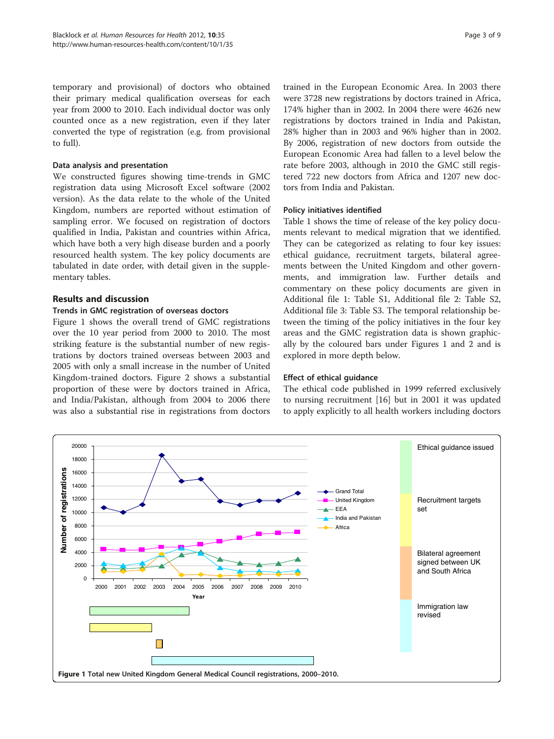<span id="page-2-0"></span>temporary and provisional) of doctors who obtained their primary medical qualification overseas for each year from 2000 to 2010. Each individual doctor was only counted once as a new registration, even if they later converted the type of registration (e.g. from provisional to full).

#### Data analysis and presentation

We constructed figures showing time-trends in GMC registration data using Microsoft Excel software (2002 version). As the data relate to the whole of the United Kingdom, numbers are reported without estimation of sampling error. We focused on registration of doctors qualified in India, Pakistan and countries within Africa, which have both a very high disease burden and a poorly resourced health system. The key policy documents are tabulated in date order, with detail given in the supplementary tables.

## Results and discussion

## Trends in GMC registration of overseas doctors

Figure 1 shows the overall trend of GMC registrations over the 10 year period from 2000 to 2010. The most striking feature is the substantial number of new registrations by doctors trained overseas between 2003 and 2005 with only a small increase in the number of United Kingdom-trained doctors. Figure [2](#page-3-0) shows a substantial proportion of these were by doctors trained in Africa, and India/Pakistan, although from 2004 to 2006 there was also a substantial rise in registrations from doctors trained in the European Economic Area. In 2003 there were 3728 new registrations by doctors trained in Africa, 174% higher than in 2002. In 2004 there were 4626 new registrations by doctors trained in India and Pakistan, 28% higher than in 2003 and 96% higher than in 2002. By 2006, registration of new doctors from outside the European Economic Area had fallen to a level below the rate before 2003, although in 2010 the GMC still registered 722 new doctors from Africa and 1207 new doctors from India and Pakistan.

#### Policy initiatives identified

Table [1](#page-4-0) shows the time of release of the key policy documents relevant to medical migration that we identified. They can be categorized as relating to four key issues: ethical guidance, recruitment targets, bilateral agreements between the United Kingdom and other governments, and immigration law. Further details and commentary on these policy documents are given in Additional file [1](#page-7-0): Table S1, Additional file [2](#page-7-0): Table S2, Additional file [3:](#page-7-0) Table S3. The temporal relationship between the timing of the policy initiatives in the four key areas and the GMC registration data is shown graphically by the coloured bars under Figures 1 and [2](#page-3-0) and is explored in more depth below.

## Effect of ethical guidance

The ethical code published in 1999 referred exclusively to nursing recruitment [\[16](#page-7-0)] but in 2001 it was updated to apply explicitly to all health workers including doctors

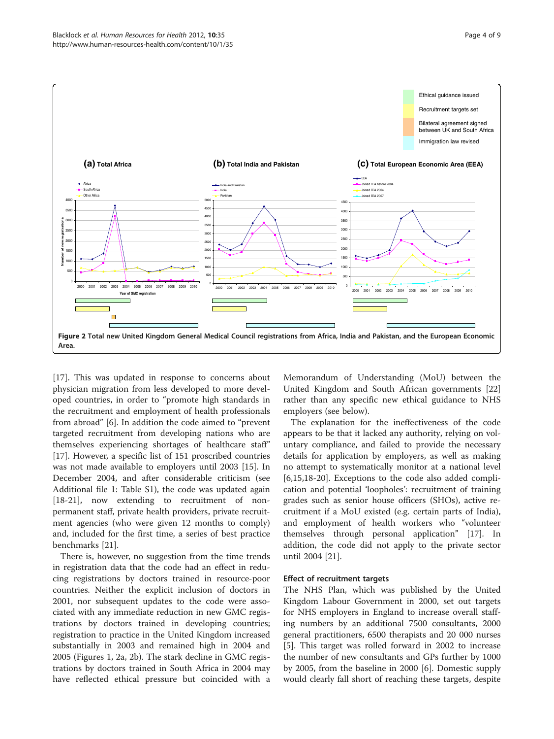<span id="page-3-0"></span>

[[17\]](#page-7-0). This was updated in response to concerns about physician migration from less developed to more developed countries, in order to "promote high standards in the recruitment and employment of health professionals from abroad" [\[6](#page-7-0)]. In addition the code aimed to "prevent targeted recruitment from developing nations who are themselves experiencing shortages of healthcare staff" [[17\]](#page-7-0). However, a specific list of 151 proscribed countries was not made available to employers until 2003 [\[15\]](#page-7-0). In December 2004, and after considerable criticism (see Additional file [1](#page-7-0): Table S1), the code was updated again [[18-21](#page-7-0)], now extending to recruitment of nonpermanent staff, private health providers, private recruitment agencies (who were given 12 months to comply) and, included for the first time, a series of best practice benchmarks [\[21](#page-7-0)].

There is, however, no suggestion from the time trends in registration data that the code had an effect in reducing registrations by doctors trained in resource-poor countries. Neither the explicit inclusion of doctors in 2001, nor subsequent updates to the code were associated with any immediate reduction in new GMC registrations by doctors trained in developing countries; registration to practice in the United Kingdom increased substantially in 2003 and remained high in 2004 and 2005 (Figures [1,](#page-2-0) 2a, 2b). The stark decline in GMC registrations by doctors trained in South Africa in 2004 may have reflected ethical pressure but coincided with a Memorandum of Understanding (MoU) between the United Kingdom and South African governments [[22](#page-7-0)] rather than any specific new ethical guidance to NHS employers (see below).

The explanation for the ineffectiveness of the code appears to be that it lacked any authority, relying on voluntary compliance, and failed to provide the necessary details for application by employers, as well as making no attempt to systematically monitor at a national level [[6,15,18-20](#page-7-0)]. Exceptions to the code also added complication and potential 'loopholes': recruitment of training grades such as senior house officers (SHOs), active recruitment if a MoU existed (e.g. certain parts of India), and employment of health workers who "volunteer themselves through personal application" [\[17](#page-7-0)]. In addition, the code did not apply to the private sector until 2004 [\[21](#page-7-0)].

#### Effect of recruitment targets

The NHS Plan, which was published by the United Kingdom Labour Government in 2000, set out targets for NHS employers in England to increase overall staffing numbers by an additional 7500 consultants, 2000 general practitioners, 6500 therapists and 20 000 nurses [[5\]](#page-7-0). This target was rolled forward in 2002 to increase the number of new consultants and GPs further by 1000 by 2005, from the baseline in 2000 [\[6](#page-7-0)]. Domestic supply would clearly fall short of reaching these targets, despite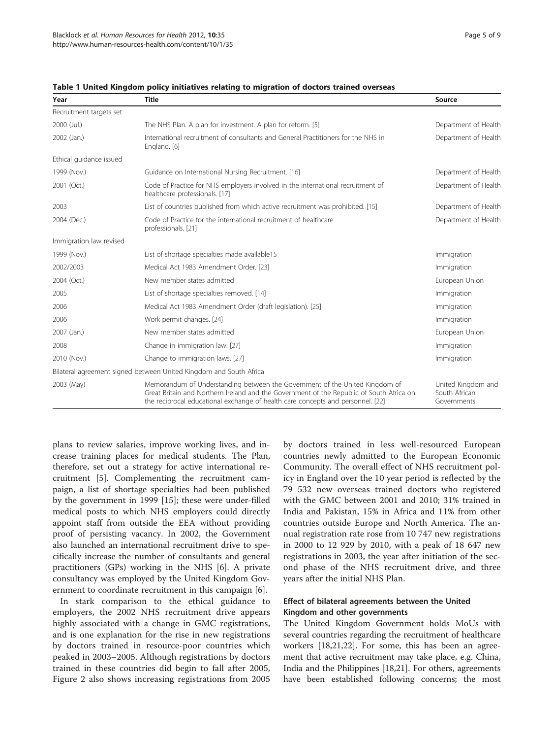| Year                    | <b>Title</b>                                                                                                                                                                                                                                               | Source                                             |
|-------------------------|------------------------------------------------------------------------------------------------------------------------------------------------------------------------------------------------------------------------------------------------------------|----------------------------------------------------|
| Recruitment targets set |                                                                                                                                                                                                                                                            |                                                    |
| 2000 (Jul.)             | The NHS Plan. A plan for investment. A plan for reform. [5]                                                                                                                                                                                                | Department of Health                               |
| 2002 (Jan.)             | International recruitment of consultants and General Practitioners for the NHS in<br>England. [6]                                                                                                                                                          | Department of Health                               |
| Ethical quidance issued |                                                                                                                                                                                                                                                            |                                                    |
| 1999 (Nov.)             | Guidance on International Nursing Recruitment. [16]                                                                                                                                                                                                        | Department of Health                               |
| 2001 (Oct.)             | Code of Practice for NHS employers involved in the international recruitment of<br>healthcare professionals. [17]                                                                                                                                          | Department of Health                               |
| 2003                    | List of countries published from which active recruitment was prohibited. [15]                                                                                                                                                                             | Department of Health                               |
| 2004 (Dec.)             | Code of Practice for the international recruitment of healthcare<br>professionals. [21]                                                                                                                                                                    | Department of Health                               |
| Immigration law revised |                                                                                                                                                                                                                                                            |                                                    |
| 1999 (Nov.)             | List of shortage specialties made available15                                                                                                                                                                                                              | Immigration                                        |
| 2002/2003               | Medical Act 1983 Amendment Order. [23]                                                                                                                                                                                                                     | Immigration                                        |
| 2004 (Oct.)             | New member states admitted                                                                                                                                                                                                                                 | European Union                                     |
| 2005                    | List of shortage specialties removed. [14]                                                                                                                                                                                                                 | Immigration                                        |
| 2006                    | Medical Act 1983 Amendment Order (draft legislation). [25]                                                                                                                                                                                                 | Immigration                                        |
| 2006                    | Work permit changes. [24]                                                                                                                                                                                                                                  | Immigration                                        |
| 2007 (Jan.)             | New member states admitted                                                                                                                                                                                                                                 | European Union                                     |
| 2008                    | Change in immigration law. [27]                                                                                                                                                                                                                            | Immigration                                        |
| 2010 (Nov.)             | Change to immigration laws. [27]                                                                                                                                                                                                                           | Immigration                                        |
|                         | Bilateral agreement signed between United Kingdom and South Africa                                                                                                                                                                                         |                                                    |
| 2003 (May)              | Memorandum of Understanding between the Government of the United Kingdom of<br>Great Britain and Northern Ireland and the Government of the Republic of South Africa on<br>the reciprocal educational exchange of health care concepts and personnel. [22] | United Kingdom and<br>South African<br>Governments |

<span id="page-4-0"></span>

| Table 1 United Kingdom policy initiatives relating to migration of doctors trained overseas |  |  |  |
|---------------------------------------------------------------------------------------------|--|--|--|
|---------------------------------------------------------------------------------------------|--|--|--|

plans to review salaries, improve working lives, and increase training places for medical students. The Plan, therefore, set out a strategy for active international recruitment [[5\]](#page-7-0). Complementing the recruitment campaign, a list of shortage specialties had been published by the government in 1999 [[15\]](#page-7-0); these were under-filled medical posts to which NHS employers could directly appoint staff from outside the EEA without providing proof of persisting vacancy. In 2002, the Government also launched an international recruitment drive to specifically increase the number of consultants and general practitioners (GPs) working in the NHS [\[6](#page-7-0)]. A private consultancy was employed by the United Kingdom Government to coordinate recruitment in this campaign [\[6](#page-7-0)].

In stark comparison to the ethical guidance to employers, the 2002 NHS recruitment drive appears highly associated with a change in GMC registrations, and is one explanation for the rise in new registrations by doctors trained in resource-poor countries which peaked in 2003–2005. Although registrations by doctors trained in these countries did begin to fall after 2005, Figure [2](#page-3-0) also shows increasing registrations from 2005 by doctors trained in less well-resourced European countries newly admitted to the European Economic Community. The overall effect of NHS recruitment policy in England over the 10 year period is reflected by the 79 532 new overseas trained doctors who registered with the GMC between 2001 and 2010; 31% trained in India and Pakistan, 15% in Africa and 11% from other countries outside Europe and North America. The annual registration rate rose from 10 747 new registrations in 2000 to 12 929 by 2010, with a peak of 18 647 new registrations in 2003, the year after initiation of the second phase of the NHS recruitment drive, and three years after the initial NHS Plan.

## Effect of bilateral agreements between the United Kingdom and other governments

The United Kingdom Government holds MoUs with several countries regarding the recruitment of healthcare workers [\[18,21,22\]](#page-7-0). For some, this has been an agreement that active recruitment may take place, e.g. China, India and the Philippines [[18,21\]](#page-7-0). For others, agreements have been established following concerns; the most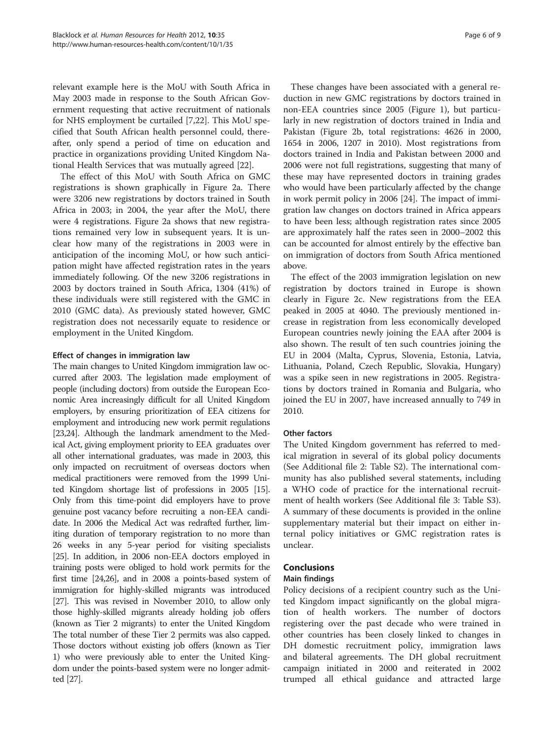relevant example here is the MoU with South Africa in May 2003 made in response to the South African Government requesting that active recruitment of nationals for NHS employment be curtailed [[7,22\]](#page-7-0). This MoU specified that South African health personnel could, thereafter, only spend a period of time on education and practice in organizations providing United Kingdom National Health Services that was mutually agreed [[22\]](#page-7-0).

The effect of this MoU with South Africa on GMC registrations is shown graphically in Figure [2a.](#page-3-0) There were 3206 new registrations by doctors trained in South Africa in 2003; in 2004, the year after the MoU, there were 4 registrations. Figure [2a](#page-3-0) shows that new registrations remained very low in subsequent years. It is unclear how many of the registrations in 2003 were in anticipation of the incoming MoU, or how such anticipation might have affected registration rates in the years immediately following. Of the new 3206 registrations in 2003 by doctors trained in South Africa, 1304 (41%) of these individuals were still registered with the GMC in 2010 (GMC data). As previously stated however, GMC registration does not necessarily equate to residence or employment in the United Kingdom.

## Effect of changes in immigration law

The main changes to United Kingdom immigration law occurred after 2003. The legislation made employment of people (including doctors) from outside the European Economic Area increasingly difficult for all United Kingdom employers, by ensuring prioritization of EEA citizens for employment and introducing new work permit regulations [[23,24\]](#page-7-0). Although the landmark amendment to the Medical Act, giving employment priority to EEA graduates over all other international graduates, was made in 2003, this only impacted on recruitment of overseas doctors when medical practitioners were removed from the 1999 United Kingdom shortage list of professions in 2005 [\[15](#page-7-0)]. Only from this time-point did employers have to prove genuine post vacancy before recruiting a non-EEA candidate. In 2006 the Medical Act was redrafted further, limiting duration of temporary registration to no more than 26 weeks in any 5-year period for visiting specialists [[25](#page-7-0)]. In addition, in 2006 non-EEA doctors employed in training posts were obliged to hold work permits for the first time [\[24,26\]](#page-7-0), and in 2008 a points-based system of immigration for highly-skilled migrants was introduced [[27](#page-7-0)]. This was revised in November 2010, to allow only those highly-skilled migrants already holding job offers (known as Tier 2 migrants) to enter the United Kingdom The total number of these Tier 2 permits was also capped. Those doctors without existing job offers (known as Tier 1) who were previously able to enter the United Kingdom under the points-based system were no longer admitted [[27\]](#page-7-0).

These changes have been associated with a general reduction in new GMC registrations by doctors trained in non-EEA countries since 2005 (Figure [1\)](#page-2-0), but particularly in new registration of doctors trained in India and Pakistan (Figure [2b,](#page-3-0) total registrations: 4626 in 2000, 1654 in 2006, 1207 in 2010). Most registrations from doctors trained in India and Pakistan between 2000 and 2006 were not full registrations, suggesting that many of these may have represented doctors in training grades who would have been particularly affected by the change in work permit policy in 2006 [[24\]](#page-7-0). The impact of immigration law changes on doctors trained in Africa appears to have been less; although registration rates since 2005 are approximately half the rates seen in 2000–2002 this can be accounted for almost entirely by the effective ban on immigration of doctors from South Africa mentioned above.

The effect of the 2003 immigration legislation on new registration by doctors trained in Europe is shown clearly in Figure [2c.](#page-3-0) New registrations from the EEA peaked in 2005 at 4040. The previously mentioned increase in registration from less economically developed European countries newly joining the EAA after 2004 is also shown. The result of ten such countries joining the EU in 2004 (Malta, Cyprus, Slovenia, Estonia, Latvia, Lithuania, Poland, Czech Republic, Slovakia, Hungary) was a spike seen in new registrations in 2005. Registrations by doctors trained in Romania and Bulgaria, who joined the EU in 2007, have increased annually to 749 in 2010.

## Other factors

The United Kingdom government has referred to medical migration in several of its global policy documents (See Additional file [2](#page-7-0): Table S2). The international community has also published several statements, including a WHO code of practice for the international recruitment of health workers (See Additional file [3](#page-7-0): Table S3). A summary of these documents is provided in the online supplementary material but their impact on either internal policy initiatives or GMC registration rates is unclear.

## **Conclusions**

## Main findings

Policy decisions of a recipient country such as the United Kingdom impact significantly on the global migration of health workers. The number of doctors registering over the past decade who were trained in other countries has been closely linked to changes in DH domestic recruitment policy, immigration laws and bilateral agreements. The DH global recruitment campaign initiated in 2000 and reiterated in 2002 trumped all ethical guidance and attracted large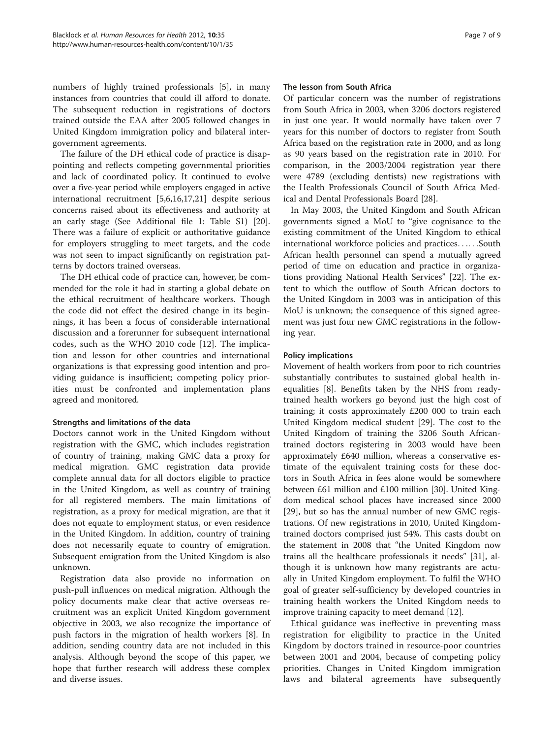numbers of highly trained professionals [[5\]](#page-7-0), in many instances from countries that could ill afford to donate. The subsequent reduction in registrations of doctors trained outside the EAA after 2005 followed changes in United Kingdom immigration policy and bilateral intergovernment agreements.

The failure of the DH ethical code of practice is disappointing and reflects competing governmental priorities and lack of coordinated policy. It continued to evolve over a five-year period while employers engaged in active international recruitment [\[5,6,16,17,21](#page-7-0)] despite serious concerns raised about its effectiveness and authority at an early stage (See Additional file [1:](#page-7-0) Table S1) [\[20](#page-7-0)]. There was a failure of explicit or authoritative guidance for employers struggling to meet targets, and the code was not seen to impact significantly on registration patterns by doctors trained overseas.

The DH ethical code of practice can, however, be commended for the role it had in starting a global debate on the ethical recruitment of healthcare workers. Though the code did not effect the desired change in its beginnings, it has been a focus of considerable international discussion and a forerunner for subsequent international codes, such as the WHO 2010 code [[12](#page-7-0)]. The implication and lesson for other countries and international organizations is that expressing good intention and providing guidance is insufficient; competing policy priorities must be confronted and implementation plans agreed and monitored.

## Strengths and limitations of the data

Doctors cannot work in the United Kingdom without registration with the GMC, which includes registration of country of training, making GMC data a proxy for medical migration. GMC registration data provide complete annual data for all doctors eligible to practice in the United Kingdom, as well as country of training for all registered members. The main limitations of registration, as a proxy for medical migration, are that it does not equate to employment status, or even residence in the United Kingdom. In addition, country of training does not necessarily equate to country of emigration. Subsequent emigration from the United Kingdom is also unknown.

Registration data also provide no information on push-pull influences on medical migration. Although the policy documents make clear that active overseas recruitment was an explicit United Kingdom government objective in 2003, we also recognize the importance of push factors in the migration of health workers [\[8](#page-7-0)]. In addition, sending country data are not included in this analysis. Although beyond the scope of this paper, we hope that further research will address these complex and diverse issues.

#### The lesson from South Africa

Of particular concern was the number of registrations from South Africa in 2003, when 3206 doctors registered in just one year. It would normally have taken over 7 years for this number of doctors to register from South Africa based on the registration rate in 2000, and as long as 90 years based on the registration rate in 2010. For comparison, in the 2003/2004 registration year there were 4789 (excluding dentists) new registrations with the Health Professionals Council of South Africa Medical and Dental Professionals Board [[28\]](#page-7-0).

In May 2003, the United Kingdom and South African governments signed a MoU to "give cognisance to the existing commitment of the United Kingdom to ethical international workforce policies and practices. . .. . .South African health personnel can spend a mutually agreed period of time on education and practice in organizations providing National Health Services" [\[22](#page-7-0)]. The extent to which the outflow of South African doctors to the United Kingdom in 2003 was in anticipation of this MoU is unknown; the consequence of this signed agreement was just four new GMC registrations in the following year.

#### Policy implications

Movement of health workers from poor to rich countries substantially contributes to sustained global health inequalities [\[8](#page-7-0)]. Benefits taken by the NHS from readytrained health workers go beyond just the high cost of training; it costs approximately £200 000 to train each United Kingdom medical student [[29](#page-7-0)]. The cost to the United Kingdom of training the 3206 South Africantrained doctors registering in 2003 would have been approximately £640 million, whereas a conservative estimate of the equivalent training costs for these doctors in South Africa in fees alone would be somewhere between £61 million and £100 million [[30\]](#page-8-0). United Kingdom medical school places have increased since 2000 [[29\]](#page-7-0), but so has the annual number of new GMC registrations. Of new registrations in 2010, United Kingdomtrained doctors comprised just 54%. This casts doubt on the statement in 2008 that "the United Kingdom now trains all the healthcare professionals it needs" [[31\]](#page-8-0), although it is unknown how many registrants are actually in United Kingdom employment. To fulfil the WHO goal of greater self-sufficiency by developed countries in training health workers the United Kingdom needs to improve training capacity to meet demand [\[12](#page-7-0)].

Ethical guidance was ineffective in preventing mass registration for eligibility to practice in the United Kingdom by doctors trained in resource-poor countries between 2001 and 2004, because of competing policy priorities. Changes in United Kingdom immigration laws and bilateral agreements have subsequently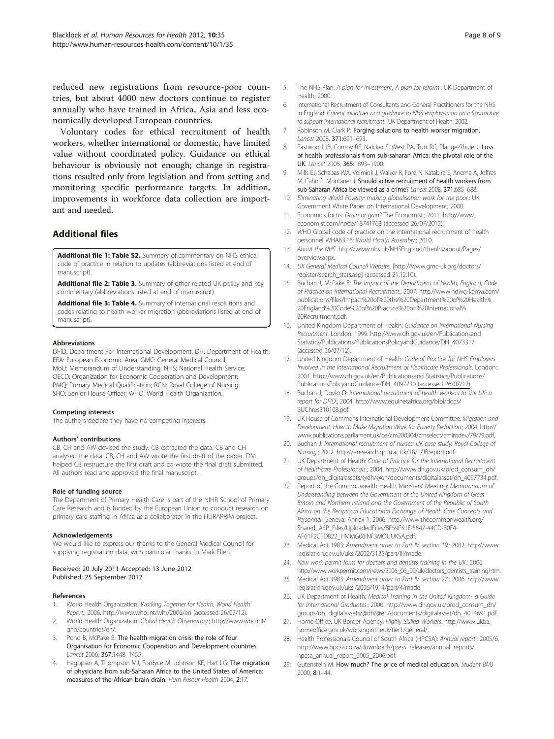<span id="page-7-0"></span>reduced new registrations from resource-poor countries, but about 4000 new doctors continue to register annually who have trained in Africa, Asia and less economically developed European countries.

Voluntary codes for ethical recruitment of health workers, whether international or domestic, have limited value without coordinated policy. Guidance on ethical behaviour is obviously not enough; change in registrations resulted only from legislation and from setting and monitoring specific performance targets. In addition, improvements in workforce data collection are important and needed.

## Additional files

[Additional file 1: Table S2.](http://www.biomedcentral.com/content/supplementary/1478-4491-10-35-S1.ppt) Summary of commentary on NHS ethical code of practice in relation to updates (abbreviations listed at end of manuscript).

[Additional file 2: Table 3.](http://www.biomedcentral.com/content/supplementary/1478-4491-10-35-S2.ppt) Summary of other related UK policy and key commentary (abbreviations listed at end of manuscript).

[Additional file 3: Table 4.](http://www.biomedcentral.com/content/supplementary/1478-4491-10-35-S3.ppt) Summary of international resolutions and codes relating to health worker migration (abbreviations listed at end of manuscript).

#### Abbreviations

DFID: Department For International Development; DH: Department of Health; EEA: European Economic Area; GMC: General Medical Council; MoU: Memorandum of Understanding; NHS: National Health Service; OECD: Organization for Economic Cooperation and Development; PMQ: Primary Medical Qualification; RCN: Royal College of Nursing; SHO: Senior House Officer; WHO: World Health Organization.

#### Competing interests

The authors declare they have no competing interests.

#### Authors' contributions

CB, CH and AW devised the study. CB extracted the data. CB and CH analysed the data. CB, CH and AW wrote the first draft of the paper. DM helped CB restructure the first draft and co-wrote the final draft submitted. All authors read and approved the final manuscript.

#### Role of funding source

The Department of Primary Health Care is part of the NIHR School of Primary Care Research and is funded by the European Union to conduct research on primary care staffing in Africa as a collaborator in the HURAPRIM project.

#### Acknowledgements

We would like to express our thanks to the General Medical Council for supplying registration data, with particular thanks to Mark Ellen.

#### Received: 20 July 2011 Accepted: 13 June 2012 Published: 25 September 2012

#### References

- 1. World Health Organization: Working Together for Health, World Health Report.; 2006. http://www.who.int/whr/2006/en (accessed 26/07/12).
- 2. World Health Organization: Global Health Observatory.; [http://www.who.int/](http://www.who.int/gho/countries/en/) [gho/countries/en/.](http://www.who.int/gho/countries/en/)
- Pond B, McPake B: The health migration crisis: the role of four Organisation for Economic Cooperation and Development countries. Lancet 2006, 367:1448–1455.
- Hagopian A, Thompson MJ, Fordyce M, Johnson KE, Hart LG: The migration of physicians from sub-Saharan Africa to the United States of America: measures of the African brain drain. Hum Resour Health 2004, 2:17.
- 5. The NHS Plan: A plan for investment, A plan for reform.: UK Department of Health; 2000.
- 6. International Recruitment of Consultants and General Practitioners for the NHS in England: Current initiatives and guidance to NHS employers on an infrastructure to support international recruitment.: UK Department of Health; 2002.
- 7. Robinson M, Clark P: Forging solutions to health worker migration. Lancet 2008, 371:691–693.
- 8. Eastwood JB, Conroy RE, Naicker S, West PA, Tutt RC, Plange-Rhule J: Loss of health professionals from sub-saharan Africa: the pivotal role of the UK. Lancet 2005, 365:1893–1900.
- 9. Mills EJ, Schabas WA, Volmink J, Walker R, Ford N, Katabira E, Anema A, Joffres M, Cahn P, Montaner J: Should active recruitment of health workers from sub-Saharan Africa be viewed as a crime? Lancet 2008, 371:685–688.
- 10. Eliminating World Poverty: making globalisation work for the poor.: UK Government White Paper on International Development; 2000.
- 11. Economics focus: Drain or gain? The Economist.; 2011. [http://www.](http://www.economist.com/node/18741763) [economist.com/node/18741763](http://www.economist.com/node/18741763) (accessed 26/07/2012).
- 12. WHO Global code of practice on the international recruitment of health personnel WHA63.16: World Health Assembly.; 2010.
- 13. About the NHS. [http://www.nhs.uk/NHSEngland/thenhs/about/Pages/](http://www.nhs.uk/NHSEngland/thenhs/about/Pages/overview.aspx) [overview.aspx](http://www.nhs.uk/NHSEngland/thenhs/about/Pages/overview.aspx).
- 14. UK General Medical Council Website. [\[http://www.gmc-uk.org/doctors/](http://www.gmc-uk.org/doctors/register/search_stats.asp) [register/search\\_stats.asp\]](http://www.gmc-uk.org/doctors/register/search_stats.asp) (accessed 21.12.10).
- 15. Buchan J, McPake B: The Impact of the Department of Health, England, Code of Practice on International Recruitment.; 2007. [http://www.hdwg-kenya.com/](http://www.hdwg-kenya.com/publications/files/Impact%20of%20the%20Department%20of%20Health%20England%20Code%20of%20Practice%20on%20International%20Recruitment.pdf) [publications/files/Impac](http://www.hdwg-kenya.com/publications/files/Impact%20of%20the%20Department%20of%20Health%20England%20Code%20of%20Practice%20on%20International%20Recruitment.pdf)t%20of%20the%20Department%20of%20Health% 20England%20Code%20of%20Practice%20on%20International% 20Recruitment.pdf.
- 16. United Kingdom Department of Health: Guidance on International Nursing Recruitment. London: 1999. [http://www.dh.gov.uk/en/Publicationsand](http://www.dh.gov.uk/en/Publicationsand Statistics/Publications/PublicationsPolicyandGuidance/DH_4073317) [Statistics/Publications/PublicationsPolicyandGuidance/DH\\_4073317](http://www.dh.gov.uk/en/Publicationsand Statistics/Publications/PublicationsPolicyandGuidance/DH_4073317) (accessed 26/07/12).
- 17. United Kingdom Department of Health: Code of Practice for NHS Employers Involved in the International Recruitment of Healthcare Professionals. London:; 2001. [http://www.dh.gov.uk/en/Publicationsand Statistics/Publications/](http://www.dh.gov.uk/en/Publicationsand%20Statistics/Publications/PublicationsPolicyandGuidance/DH_4097730%20) [PublicationsPolicyandGuidance/DH\\_4097730](http://www.dh.gov.uk/en/Publicationsand%20Statistics/Publications/PublicationsPolicyandGuidance/DH_4097730%20) (accessed 26/07/12).
- 18. Buchan J, Dovlo D: International recruitment of health workers to the UK: a report for DFID.; 2004. [http://www.equinetafrica.org/bibl/docs/](http://www.equinetafrica.org/bibl/docs/BUChres310108.pdf) [BUChres310108.pdf.](http://www.equinetafrica.org/bibl/docs/BUChres310108.pdf)
- 19. UK House of Commons International Development Committee: Migration and Development: How to Make Migration Work for Poverty Reduction.; 2004. [http://](http://www.publications.parliament.uk/pa/cm200304/cmselect/cmintdev/79/79.pdf) [www.publications.parliament.uk/pa/cm200304/cmselect/cmintdev/79/79.pdf](http://www.publications.parliament.uk/pa/cm200304/cmselect/cmintdev/79/79.pdf).
- 20. Buchan J: International recruitment of nurses: UK case study: Royal College of Nursing.; 2002. [http://eresearch.qmu.ac.uk/18/1/JBreport.pdf.](http://eresearch.qmu.ac.uk/18/1/JBreport.pdf)
- 21. UK Department of Health: Code of Practice for the International Recruitment of Healthcare Professionals.; 2004. [http://www.dh.gov.uk/prod\\_consum\\_dh/](http://www.dh.gov.uk/prod_consum_dh/groups/dh_digitalassets/@dh/@en/documents/digitalasset/dh_4097734.pdf) [groups/dh\\_digitalassets/@dh/@en/documents/digitalasset/dh\\_4097734.pdf.](http://www.dh.gov.uk/prod_consum_dh/groups/dh_digitalassets/@dh/@en/documents/digitalasset/dh_4097734.pdf)
- 22. Report of the Commonwealth Health Ministers' Meeting: Memorandum of Understanding between the Government of the United Kingdom of Great Britain and Northern Ireland and the Government of the Republic of South Africa on the Reciprocal Educational Exchange of Health Care Concepts and Personnel. Geneva: Annex 1; 2006. [http://www.thecommonwealth.org/](http://www.thecommonwealth.org/Shared_ASP_Files/UploadedFiles/BF59F51E-5547-44CD-B0F4-AF61F2CFD822_HMMG06INF3MOUUKSA.pdf) [Shared\\_ASP\\_Files/UploadedFiles/BF59F51E-5547-44CD-B0F4-](http://www.thecommonwealth.org/Shared_ASP_Files/UploadedFiles/BF59F51E-5547-44CD-B0F4-AF61F2CFD822_HMMG06INF3MOUUKSA.pdf) [AF61F2CFD822\\_HMMG06INF3MOUUKSA.pdf](http://www.thecommonwealth.org/Shared_ASP_Files/UploadedFiles/BF59F51E-5547-44CD-B0F4-AF61F2CFD822_HMMG06INF3MOUUKSA.pdf).
- 23. Medical Act 1983: Amendment order to Part IV, section 19.; 2002. [http://www.](http://www.legislation.gov.uk/uksi/2002/3135/part/III/made) [legislation.gov.uk/uksi/2002/3135/part/III/made.](http://www.legislation.gov.uk/uksi/2002/3135/part/III/made)
- 24. New work permit form for doctors and dentists training in the UK.; 2006. [http://www.workpermit.com/news/2006\\_06\\_09/uk/doctors\\_dentists\\_training.htm](http://www.workpermit.com/news/2006_06_09/uk/doctors_dentists_training.htm).
- 25. Medical Act 1983: Amendment order to Part IV, section 27.; 2006. [http://www.](http://www.legislation.gov.uk/uksi/2006/1914/part/4/made) [legislation.gov.uk/uksi/2006/1914/part/4/made.](http://www.legislation.gov.uk/uksi/2006/1914/part/4/made)
- 26. UK Department of Health: Medical Training in the United Kingdom- a Guide for International Graduates.; 2000. [http://www.dh.gov.uk/prod\\_consum\\_dh/](http://www.dh.gov.uk/prod_consum_dh/groups/dh_digitalassets/@dh/@en/documents/digitalasset/dh_4014691.pdf) [groups/dh\\_digitalassets/@dh/@en/documents/digitalasset/dh\\_4014691.pdf.](http://www.dh.gov.uk/prod_consum_dh/groups/dh_digitalassets/@dh/@en/documents/digitalasset/dh_4014691.pdf)
- 27. Home Office. UK Border Agency: Highly Skilled Workers. [http://www.ukba.](http://www.ukba.homeoffice.gov.uk/workingintheuk/tier1/general/) [homeoffice.gov.uk/workingintheuk/tier1/general/.](http://www.ukba.homeoffice.gov.uk/workingintheuk/tier1/general/)
- 28. Health Professionals Council of South Africa (HPCSA): Annual report.; 2005/6. [http://www.hpcsa.co.za/downloads/press\\_releases/annual\\_reports/](http://www.hpcsa.co.za/downloads/press_releases/annual_reports/hpcsa_annual_report_2005_2006.pdf) [hpcsa\\_annual\\_report\\_2005\\_2006.pdf](http://www.hpcsa.co.za/downloads/press_releases/annual_reports/hpcsa_annual_report_2005_2006.pdf).
- 29. Gutenstein M: How much? The price of medical education. Student BMJ 2000, 8:1–44.